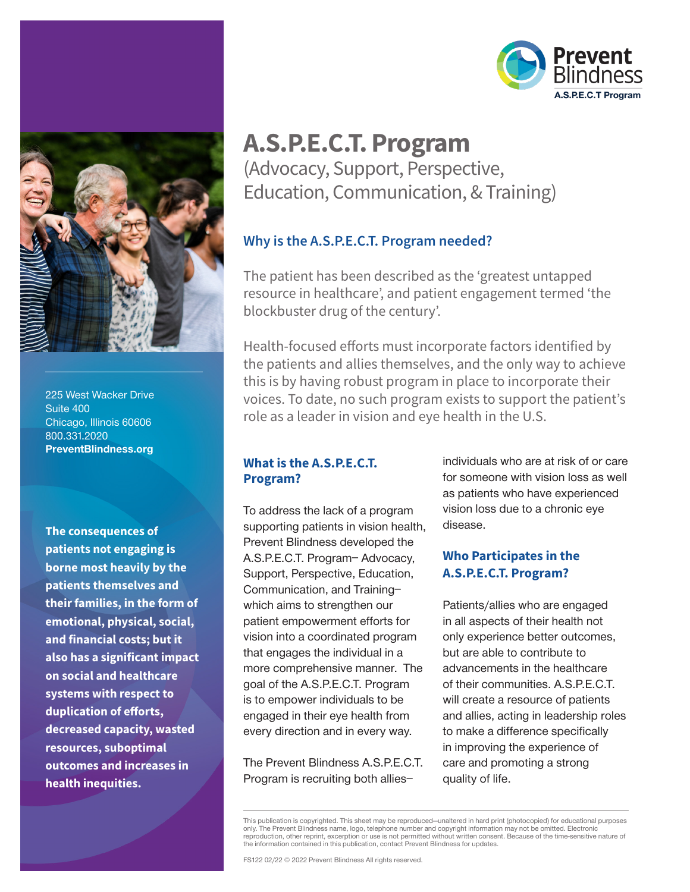

225 West Wacker Drive Suite 400 Chicago, Illinois 60606 800.331.2020 PreventBlindness.org

**The consequences of patients not engaging is borne most heavily by the patients themselves and their families, in the form of emotional, physical, social, and financial costs; but it also has a significant impact on social and healthcare systems with respect to duplication of efforts, decreased capacity, wasted resources, suboptimal outcomes and increases in health inequities.**



## **A.S.P.E.C.T. Program** (Advocacy, Support, Perspective, Education, Communication, & Training)

#### **Why is the A.S.P.E.C.T. Program needed?**

The patient has been described as the 'greatest untapped resource in healthcare', and patient engagement termed 'the blockbuster drug of the century'.

Health-focused efforts must incorporate factors identified by the patients and allies themselves, and the only way to achieve this is by having robust program in place to incorporate their voices. To date, no such program exists to support the patient's role as a leader in vision and eye health in the U.S.

#### **What is the A.S.P.E.C.T. Program?**

To address the lack of a program supporting patients in vision health, Prevent Blindness developed the A.S.P.E.C.T. Program– Advocacy, Support, Perspective, Education, Communication, and Training– which aims to strengthen our patient empowerment efforts for vision into a coordinated program that engages the individual in a more comprehensive manner. The goal of the A.S.P.E.C.T. Program is to empower individuals to be engaged in their eye health from every direction and in every way.

The Prevent Blindness A.S.P.E.C.T. Program is recruiting both allies–

individuals who are at risk of or care for someone with vision loss as well as patients who have experienced vision loss due to a chronic eye disease.

#### **Who Participates in the A.S.P.E.C.T. Program?**

Patients/allies who are engaged in all aspects of their health not only experience better outcomes, but are able to contribute to advancements in the healthcare of their communities. A.S.P.E.C.T. will create a resource of patients and allies, acting in leadership roles to make a difference specifically in improving the experience of care and promoting a strong quality of life.

This publication is copyrighted. This sheet may be reproduced—unaltered in hard print (photocopied) for educational purposes only. The Prevent Blindness name, logo, telephone number and copyright information may not be omitted. Electronic reproduction, other reprint, excerption or use is not permitted without written consent. Because of the time-sensitive nature of the information contained in this publication, contact Prevent Blindness for updates.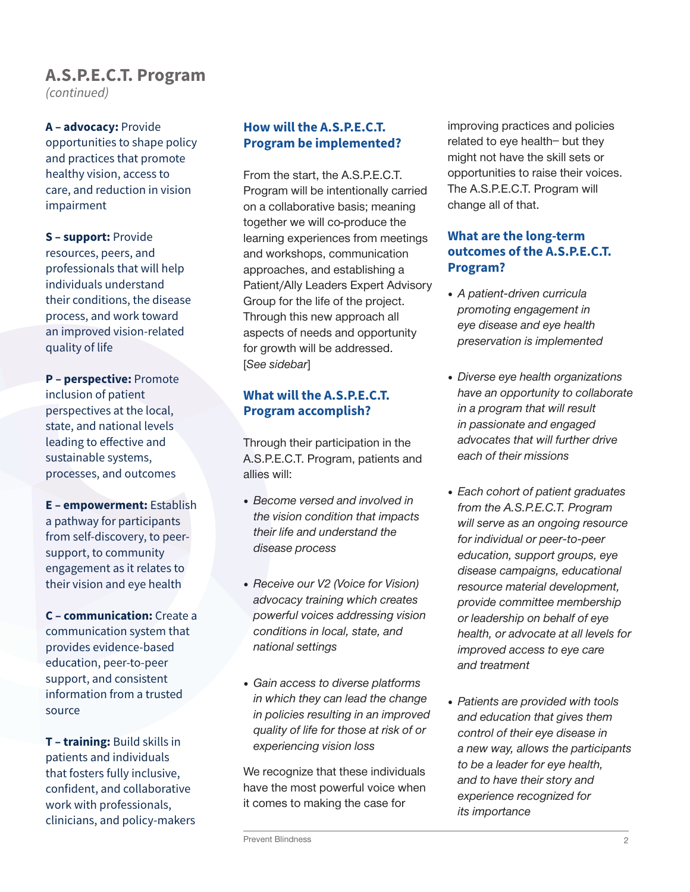# **A.S.P.E.C.T. Program**

*(continued)*

**A – advocacy:** Provide opportunities to shape policy and practices that promote healthy vision, access to care, and reduction in vision impairment

**S – support:** Provide resources, peers, and professionals that will help individuals understand their conditions, the disease process, and work toward an improved vision-related quality of life

**P – perspective:** Promote inclusion of patient perspectives at the local, state, and national levels leading to effective and sustainable systems, processes, and outcomes

**E – empowerment:** Establish a pathway for participants from self-discovery, to peersupport, to community engagement as it relates to their vision and eye health

**C – communication:** Create a communication system that provides evidence-based education, peer-to-peer support, and consistent information from a trusted source

**T – training:** Build skills in patients and individuals that fosters fully inclusive, confident, and collaborative work with professionals, clinicians, and policy-makers

#### **How will the A.S.P.E.C.T. Program be implemented?**

From the start, the A.S.P.E.C.T. Program will be intentionally carried on a collaborative basis; meaning together we will co-produce the learning experiences from meetings and workshops, communication approaches, and establishing a Patient/Ally Leaders Expert Advisory Group for the life of the project. Through this new approach all aspects of needs and opportunity for growth will be addressed. [See sidebar]

#### **What will the A.S.P.E.C.T. Program accomplish?**

Through their participation in the A.S.P.E.C.T. Program, patients and allies will:

- Become versed and involved in the vision condition that impacts their life and understand the disease process
- Receive our V2 (Voice for Vision) advocacy training which creates powerful voices addressing vision conditions in local, state, and national settings
- Gain access to diverse platforms in which they can lead the change in policies resulting in an improved quality of life for those at risk of or experiencing vision loss

We recognize that these individuals have the most powerful voice when it comes to making the case for

improving practices and policies related to eye health– but they might not have the skill sets or opportunities to raise their voices. The A.S.P.E.C.T. Program will change all of that.

#### **What are the long-term outcomes of the A.S.P.E.C.T. Program?**

- A patient-driven curricula promoting engagement in eye disease and eye health preservation is implemented
- Diverse eye health organizations have an opportunity to collaborate in a program that will result in passionate and engaged advocates that will further drive each of their missions
- Each cohort of patient graduates from the A.S.P.E.C.T. Program will serve as an ongoing resource for individual or peer-to-peer education, support groups, eye disease campaigns, educational resource material development, provide committee membership or leadership on behalf of eye health, or advocate at all levels for improved access to eye care and treatment
- Patients are provided with tools and education that gives them control of their eye disease in a new way, allows the participants to be a leader for eye health, and to have their story and experience recognized for its importance